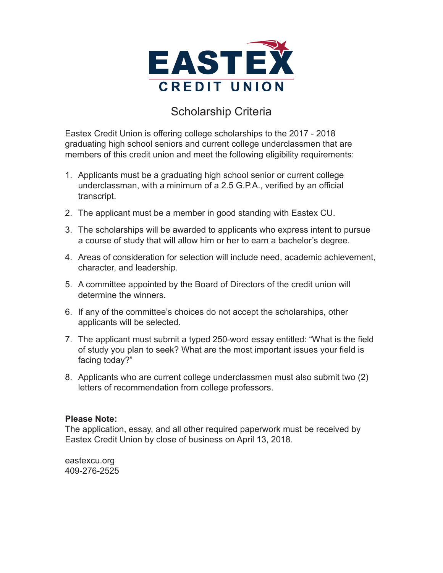

## Scholarship Criteria

Eastex Credit Union is offering college scholarships to the 2017 - 2018 graduating high school seniors and current college underclassmen that are members of this credit union and meet the following eligibility requirements:

- 1. Applicants must be a graduating high school senior or current college underclassman, with a minimum of a 2.5 G.P.A., verified by an official transcript.
- 2. The applicant must be a member in good standing with Eastex CU.
- 3. The scholarships will be awarded to applicants who express intent to pursue a course of study that will allow him or her to earn a bachelor's degree.
- 4. Areas of consideration for selection will include need, academic achievement, character, and leadership.
- 5. A committee appointed by the Board of Directors of the credit union will determine the winners.
- 6. If any of the committee's choices do not accept the scholarships, other applicants will be selected.
- 7. The applicant must submit a typed 250-word essay entitled: "What is the field of study you plan to seek? What are the most important issues your field is facing today?"
- 8. Applicants who are current college underclassmen must also submit two (2) letters of recommendation from college professors.

## **Please Note:**

The application, essay, and all other required paperwork must be received by Eastex Credit Union by close of business on April 13, 2018.

eastexcu.org 409-276-2525